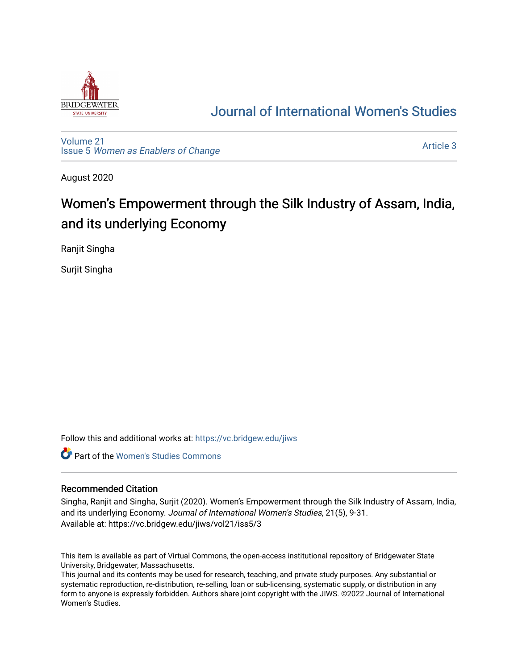

# [Journal of International Women's Studies](https://vc.bridgew.edu/jiws)

[Volume 21](https://vc.bridgew.edu/jiws/vol21) Issue 5 [Women as Enablers of Change](https://vc.bridgew.edu/jiws/vol21/iss5) 

[Article 3](https://vc.bridgew.edu/jiws/vol21/iss5/3) 

August 2020

# Women's Empowerment through the Silk Industry of Assam, India, and its underlying Economy

Ranjit Singha

Surjit Singha

Follow this and additional works at: [https://vc.bridgew.edu/jiws](https://vc.bridgew.edu/jiws?utm_source=vc.bridgew.edu%2Fjiws%2Fvol21%2Fiss5%2F3&utm_medium=PDF&utm_campaign=PDFCoverPages)

**C** Part of the Women's Studies Commons

### Recommended Citation

Singha, Ranjit and Singha, Surjit (2020). Women's Empowerment through the Silk Industry of Assam, India, and its underlying Economy. Journal of International Women's Studies, 21(5), 9-31. Available at: https://vc.bridgew.edu/jiws/vol21/iss5/3

This item is available as part of Virtual Commons, the open-access institutional repository of Bridgewater State University, Bridgewater, Massachusetts.

This journal and its contents may be used for research, teaching, and private study purposes. Any substantial or systematic reproduction, re-distribution, re-selling, loan or sub-licensing, systematic supply, or distribution in any form to anyone is expressly forbidden. Authors share joint copyright with the JIWS. ©2022 Journal of International Women's Studies.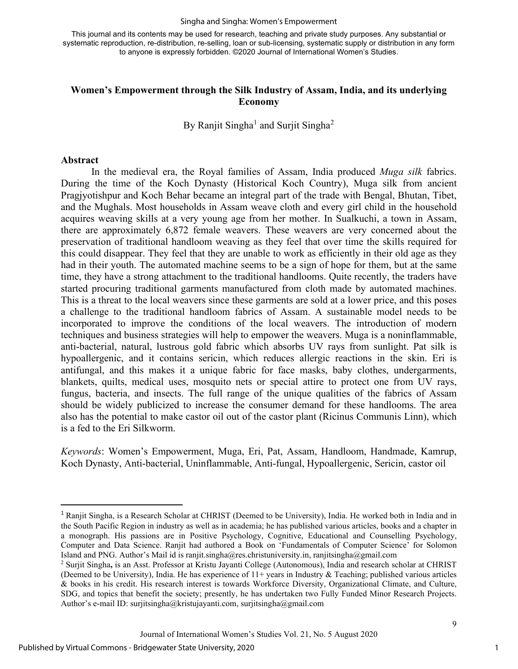#### Singha and Singha: Women's Empowerment

This journal and its contents may be used for research, teaching and private study purposes. Any substantial or systematic reproduction, re-distribution, re-selling, loan or sub-licensing, systematic supply or distribution in any form to anyone is expressly forbidden. ©2020 Journal of International Women's Studies.

### **Women's Empowerment through the Silk Industry of Assam, India, and its underlying Economy**

By Ranjit Singha<sup>[1](#page-1-0)</sup> and Surjit Singha<sup>[2](#page-1-1)</sup>

#### **Abstract**

In the medieval era, the Royal families of Assam, India produced *Muga silk* fabrics. During the time of the Koch Dynasty (Historical Koch Country), Muga silk from ancient Pragjyotishpur and Koch Behar became an integral part of the trade with Bengal, Bhutan, Tibet, and the Mughals. Most households in Assam weave cloth and every girl child in the household acquires weaving skills at a very young age from her mother. In Sualkuchi, a town in Assam, there are approximately 6,872 female weavers. These weavers are very concerned about the preservation of traditional handloom weaving as they feel that over time the skills required for this could disappear. They feel that they are unable to work as efficiently in their old age as they had in their youth. The automated machine seems to be a sign of hope for them, but at the same time, they have a strong attachment to the traditional handlooms. Quite recently, the traders have started procuring traditional garments manufactured from cloth made by automated machines. This is a threat to the local weavers since these garments are sold at a lower price, and this poses a challenge to the traditional handloom fabrics of Assam. A sustainable model needs to be incorporated to improve the conditions of the local weavers. The introduction of modern techniques and business strategies will help to empower the weavers. Muga is a noninflammable, anti-bacterial, natural, lustrous gold fabric which absorbs UV rays from sunlight. Pat silk is hypoallergenic, and it contains sericin, which reduces allergic reactions in the skin. Eri is antifungal, and this makes it a unique fabric for face masks, baby clothes, undergarments, blankets, quilts, medical uses, mosquito nets or special attire to protect one from UV rays, fungus, bacteria, and insects. The full range of the unique qualities of the fabrics of Assam should be widely publicized to increase the consumer demand for these handlooms. The area also has the potential to make castor oil out of the castor plant (Ricinus Communis Linn), which is a fed to the Eri Silkworm.

*Keywords*: Women's Empowerment, Muga, Eri, Pat, Assam, Handloom, Handmade, Kamrup, Koch Dynasty, Anti-bacterial, Uninflammable, Anti-fungal, Hypoallergenic, Sericin, castor oil

<span id="page-1-0"></span><sup>1</sup> Ranjit Singha, is a Research Scholar at CHRIST (Deemed to be University), India. He worked both in India and in the South Pacific Region in industry as well as in academia; he has published various articles, books and a chapter in a monograph. His passions are in Positive Psychology, Cognitive, Educational and Counselling Psychology, Computer and Data Science. Ranjit had authored a Book on 'Fundamentals of Computer Science' for Solomon Island and PNG. Author's Mail id is ranjit.singha@res.christuniversity.in, ranjitsingha@gmail.com

<span id="page-1-1"></span><sup>2</sup> Surjit Singha**,** is an Asst. Professor at Kristu Jayanti College (Autonomous), India and research scholar at CHRIST (Deemed to be University), India. He has experience of 11+ years in Industry & Teaching; published various articles & books in his credit. His research interest is towards Workforce Diversity, Organizational Climate, and Culture, SDG, and topics that benefit the society; presently, he has undertaken two Fully Funded Minor Research Projects. Author's e-mail ID: surjitsingha@kristujayanti.com, surjitsingha@gmail.com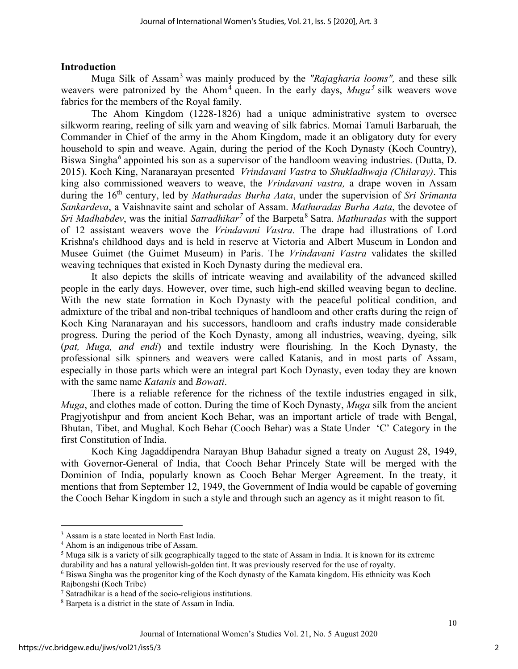### **Introduction**

Muga Silk of Assam[3](#page-2-0) was mainly produced by the *"Rajagharia looms",* and these silk weavers were patronized by the Ahom<sup>[4](#page-2-1)</sup> queen. In the early days,  $Muga<sup>5</sup>$  $Muga<sup>5</sup>$  $Muga<sup>5</sup>$  silk weavers wove fabrics for the members of the Royal family.

The Ahom Kingdom (1228-1826) had a unique administrative system to oversee silkworm rearing, reeling of silk yarn and weaving of silk fabrics. Momai Tamuli Barbaruah*,* the Commander in Chief of the army in the Ahom Kingdom, made it an obligatory duty for every household to spin and weave. Again, during the period of the Koch Dynasty (Koch Country), Biswa Singha*[6](#page-2-3)* appointed his son as a supervisor of the handloom weaving industries. (Dutta, D. 2015). Koch King, Naranarayan presented *Vrindavani Vastra* to *Shukladhwaja (Chilaray)*. This king also commissioned weavers to weave, the *Vrindavani vastra,* a drape woven in Assam during the 16th century, led by *Mathuradas Burha Aata*, under the supervision of *Sri Srimanta Sankardeva*, a Vaishnavite saint and scholar of Assam. *Mathuradas Burha Aata*, the devotee of *Sri Madhabdev*, was the initial *Satradhikar*<sup>[7](#page-2-4)</sup> of the Barpeta<sup>[8](#page-2-5)</sup> Satra. *Mathuradas* with the support of 12 assistant weavers wove the *Vrindavani Vastra*. The drape had illustrations of Lord Krishna's childhood days and is held in reserve at Victoria and Albert Museum in London and Musee Guimet (the Guimet Museum) in Paris. The *Vrindavani Vastra* validates the skilled weaving techniques that existed in Koch Dynasty during the medieval era.

It also depicts the skills of intricate weaving and availability of the advanced skilled people in the early days. However, over time, such high-end skilled weaving began to decline. With the new state formation in Koch Dynasty with the peaceful political condition, and admixture of the tribal and non-tribal techniques of handloom and other crafts during the reign of Koch King Naranarayan and his successors, handloom and crafts industry made considerable progress. During the period of the Koch Dynasty, among all industries, weaving, dyeing, silk (*pat, Muga, and endi*) and textile industry were flourishing. In the Koch Dynasty, the professional silk spinners and weavers were called Katanis, and in most parts of Assam, especially in those parts which were an integral part Koch Dynasty, even today they are known with the same name *Katanis* and *Bowati*.

There is a reliable reference for the richness of the textile industries engaged in silk, *Muga*, and clothes made of cotton. During the time of Koch Dynasty, *Muga* silk from the ancient Pragjyotishpur and from ancient Koch Behar, was an important article of trade with Bengal, Bhutan, Tibet, and Mughal. Koch Behar (Cooch Behar) was a State Under 'C' Category in the first Constitution of India.

Koch King Jagaddipendra Narayan Bhup Bahadur signed a treaty on August 28, 1949, with Governor-General of India, that Cooch Behar Princely State will be merged with the Dominion of India, popularly known as Cooch Behar Merger Agreement. In the treaty, it mentions that from September 12, 1949, the Government of India would be capable of governing the Cooch Behar Kingdom in such a style and through such an agency as it might reason to fit.

<span id="page-2-0"></span><sup>&</sup>lt;sup>3</sup> Assam is a state located in North East India.

<span id="page-2-1"></span><sup>4</sup> Ahom is an indigenous tribe of Assam.

<span id="page-2-2"></span> $<sup>5</sup>$  Muga silk is a variety of silk geographically tagged to the state of Assam in India. It is known for its extreme</sup> durability and has a natural yellowish-golden tint. It was previously reserved for the use of royalty.

<span id="page-2-3"></span><sup>6</sup> Biswa Singha was the progenitor king of the Koch dynasty of the Kamata kingdom. His ethnicity was Koch Rajbongshi (Koch Tribe)

<span id="page-2-4"></span><sup>7</sup> Satradhikar is a head of the socio-religious institutions.

<span id="page-2-5"></span><sup>8</sup> Barpeta is a district in the state of Assam in India.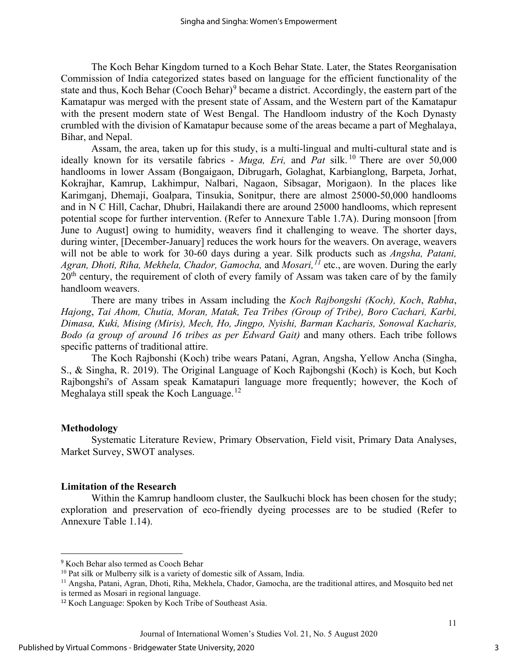The Koch Behar Kingdom turned to a Koch Behar State. Later, the States Reorganisation Commission of India categorized states based on language for the efficient functionality of the state and thus, Koch Behar (Cooch Behar)<sup>[9](#page-3-0)</sup> became a district. Accordingly, the eastern part of the Kamatapur was merged with the present state of Assam, and the Western part of the Kamatapur with the present modern state of West Bengal. The Handloom industry of the Koch Dynasty crumbled with the division of Kamatapur because some of the areas became a part of Meghalaya, Bihar, and Nepal.

Assam, the area, taken up for this study, is a multi-lingual and multi-cultural state and is ideally known for its versatile fabrics - *Muga, Eri,* and *Pat* silk.<sup>[10](#page-3-1)</sup> There are over 50,000 handlooms in lower Assam (Bongaigaon, Dibrugarh, Golaghat, Karbianglong, Barpeta, Jorhat, Kokrajhar, Kamrup, Lakhimpur, Nalbari, Nagaon, Sibsagar, Morigaon). In the places like Karimganj, Dhemaji, Goalpara, Tinsukia, Sonitpur, there are almost 25000-50,000 handlooms and in N C Hill, Cachar, Dhubri, Hailakandi there are around 25000 handlooms, which represent potential scope for further intervention. (Refer to Annexure Table 1.7A). During monsoon [from June to August] owing to humidity, weavers find it challenging to weave. The shorter days, during winter, [December-January] reduces the work hours for the weavers. On average, weavers will not be able to work for 30-60 days during a year. Silk products such as *Angsha, Patani, Agran, Dhoti, Riha, Mekhela, Chador, Gamocha,* and *Mosari,[11](#page-3-2)* etc., are woven. During the early  $20<sup>th</sup>$  century, the requirement of cloth of every family of Assam was taken care of by the family handloom weavers.

There are many tribes in Assam including the *Koch Rajbongshi (Koch), Koch*, *Rabha*, *Hajong*, *Tai Ahom, Chutia, Moran, Matak, Tea Tribes (Group of Tribe), Boro Cachari, Karbi, Dimasa, Kuki, Mising (Miris), Mech, Ho, Jingpo, Nyishi, Barman Kacharis, Sonowal Kacharis, Bodo (a group of around 16 tribes as per Edward Gait)* and many others. Each tribe follows specific patterns of traditional attire.

The Koch Rajbonshi (Koch) tribe wears Patani, Agran, Angsha, Yellow Ancha (Singha, S., & Singha, R. 2019). The Original Language of Koch Rajbongshi (Koch) is Koch, but Koch Rajbongshi's of Assam speak Kamatapuri language more frequently; however, the Koch of Meghalaya still speak the Koch Language.<sup>[12](#page-3-3)</sup>

#### **Methodology**

Systematic Literature Review, Primary Observation, Field visit, Primary Data Analyses, Market Survey, SWOT analyses.

### **Limitation of the Research**

Within the Kamrup handloom cluster, the Saulkuchi block has been chosen for the study; exploration and preservation of eco-friendly dyeing processes are to be studied (Refer to Annexure Table 1.14).

<span id="page-3-0"></span><sup>9</sup> Koch Behar also termed as Cooch Behar

<span id="page-3-1"></span><sup>&</sup>lt;sup>10</sup> Pat silk or Mulberry silk is a variety of domestic silk of Assam, India.

<span id="page-3-2"></span><sup>&</sup>lt;sup>11</sup> Angsha, Patani, Agran, Dhoti, Riha, Mekhela, Chador, Gamocha, are the traditional attires, and Mosquito bed net is termed as Mosari in regional language.

<span id="page-3-3"></span><sup>12</sup> Koch Language: Spoken by Koch Tribe of Southeast Asia.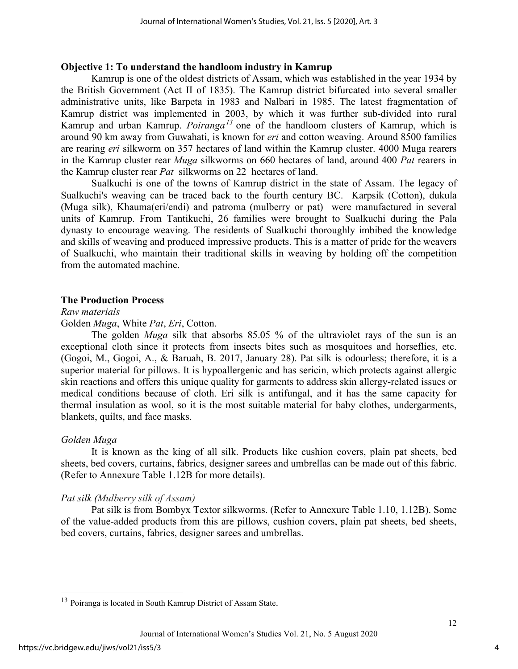#### **Objective 1: To understand the handloom industry in Kamrup**

Kamrup is one of the oldest districts of Assam, which was established in the year 1934 by the British Government (Act II of 1835). The Kamrup district bifurcated into several smaller administrative units, like Barpeta in 1983 and Nalbari in 1985. The latest fragmentation of Kamrup district was implemented in 2003, by which it was further sub-divided into rural Kamrup and urban Kamrup. *Poiranga[13](#page-4-0)* one of the handloom clusters of Kamrup, which is around 90 km away from Guwahati, is known for *eri* and cotton weaving. Around 8500 families are rearing *eri* silkworm on 357 hectares of land within the Kamrup cluster. 4000 Muga rearers in the Kamrup cluster rear *Muga* silkworms on 660 hectares of land, around 400 *Pat* rearers in the Kamrup cluster rear *Pat* silkworms on 22 hectares of land.

Sualkuchi is one of the towns of Kamrup district in the state of Assam. The legacy of Sualkuchi's weaving can be traced back to the fourth century BC. Karpsik (Cotton), dukula (Muga silk), Khauma(eri/endi) and patroma (mulberry or pat) were manufactured in several units of Kamrup. From Tantikuchi, 26 families were brought to Sualkuchi during the Pala dynasty to encourage weaving. The residents of Sualkuchi thoroughly imbibed the knowledge and skills of weaving and produced impressive products. This is a matter of pride for the weavers of Sualkuchi, who maintain their traditional skills in weaving by holding off the competition from the automated machine.

#### **The Production Process**

#### *Raw materials*

#### Golden *Muga*, White *Pat*, *Eri*, Cotton.

The golden *Muga* silk that absorbs 85.05 % of the ultraviolet rays of the sun is an exceptional cloth since it protects from insects bites such as mosquitoes and horseflies, etc. (Gogoi, M., Gogoi, A., & Baruah, B. 2017, January 28). Pat silk is odourless; therefore, it is a superior material for pillows. It is hypoallergenic and has sericin, which protects against allergic skin reactions and offers this unique quality for garments to address skin allergy-related issues or medical conditions because of cloth. Eri silk is antifungal, and it has the same capacity for thermal insulation as wool, so it is the most suitable material for baby clothes, undergarments, blankets, quilts, and face masks.

#### *Golden Muga*

It is known as the king of all silk. Products like cushion covers, plain pat sheets, bed sheets, bed covers, curtains, fabrics, designer sarees and umbrellas can be made out of this fabric. (Refer to Annexure Table 1.12B for more details).

#### *Pat silk (Mulberry silk of Assam)*

Pat silk is from Bombyx Textor silkworms. (Refer to Annexure Table 1.10, 1.12B). Some of the value-added products from this are pillows, cushion covers, plain pat sheets, bed sheets, bed covers, curtains, fabrics, designer sarees and umbrellas.

4

<span id="page-4-0"></span><sup>13</sup> Poiranga is located in South Kamrup District of Assam State.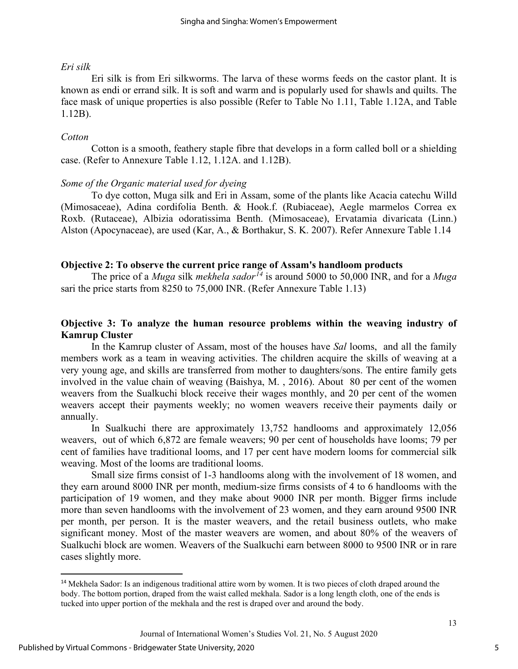#### *Eri silk*

Eri silk is from Eri silkworms. The larva of these worms feeds on the castor plant. It is known as endi or errand silk. It is soft and warm and is popularly used for shawls and quilts. The face mask of unique properties is also possible (Refer to Table No 1.11, Table 1.12A, and Table 1.12B).

### *Cotton*

Cotton is a smooth, feathery staple fibre that develops in a form called boll or a shielding case. (Refer to Annexure Table 1.12, 1.12A. and 1.12B).

### *Some of the Organic material used for dyeing*

To dye cotton, Muga silk and Eri in Assam, some of the plants like Acacia catechu Willd (Mimosaceae), Adina cordifolia Benth. & Hook.f. (Rubiaceae), Aegle marmelos Correa ex Roxb. (Rutaceae), Albizia odoratissima Benth. (Mimosaceae), Ervatamia divaricata (Linn.) Alston (Apocynaceae), are used (Kar, A., & Borthakur, S. K. 2007). Refer Annexure Table 1.14

### **Objective 2: To observe the current price range of Assam's handloom products**

The price of a *Muga* silk *mekhela sador[14](#page-5-0)* is around 5000 to 50,000 INR, and for a *Muga* sari the price starts from 8250 to 75,000 INR. (Refer Annexure Table 1.13)

### **Objective 3: To analyze the human resource problems within the weaving industry of Kamrup Cluster**

In the Kamrup cluster of Assam, most of the houses have *Sal* looms, and all the family members work as a team in weaving activities. The children acquire the skills of weaving at a very young age, and skills are transferred from mother to daughters/sons. The entire family gets involved in the value chain of weaving (Baishya, M. , 2016). About 80 per cent of the women weavers from the Sualkuchi block receive their wages monthly, and 20 per cent of the women weavers accept their payments weekly; no women weavers receive their payments daily or annually.

In Sualkuchi there are approximately 13,752 handlooms and approximately 12,056 weavers, out of which 6,872 are female weavers; 90 per cent of households have looms; 79 per cent of families have traditional looms, and 17 per cent have modern looms for commercial silk weaving. Most of the looms are traditional looms.

Small size firms consist of 1-3 handlooms along with the involvement of 18 women, and they earn around 8000 INR per month, medium-size firms consists of 4 to 6 handlooms with the participation of 19 women, and they make about 9000 INR per month. Bigger firms include more than seven handlooms with the involvement of 23 women, and they earn around 9500 INR per month, per person. It is the master weavers, and the retail business outlets, who make significant money. Most of the master weavers are women, and about 80% of the weavers of Sualkuchi block are women. Weavers of the Sualkuchi earn between 8000 to 9500 INR or in rare cases slightly more.

<span id="page-5-0"></span><sup>&</sup>lt;sup>14</sup> Mekhela Sador: Is an indigenous traditional attire worn by women. It is two pieces of cloth draped around the body. The bottom portion, draped from the waist called mekhala. Sador is a long length cloth, one of the ends is tucked into upper portion of the mekhala and the rest is draped over and around the body.

Journal of International Women's Studies Vol. 21, No. 5 August 2020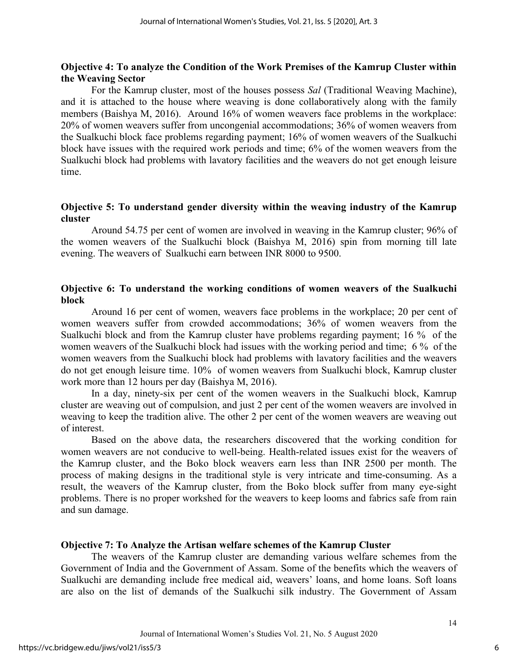### **Objective 4: To analyze the Condition of the Work Premises of the Kamrup Cluster within the Weaving Sector**

For the Kamrup cluster, most of the houses possess *Sal* (Traditional Weaving Machine), and it is attached to the house where weaving is done collaboratively along with the family members (Baishya M, 2016). Around 16% of women weavers face problems in the workplace: 20% of women weavers suffer from uncongenial accommodations; 36% of women weavers from the Sualkuchi block face problems regarding payment; 16% of women weavers of the Sualkuchi block have issues with the required work periods and time; 6% of the women weavers from the Sualkuchi block had problems with lavatory facilities and the weavers do not get enough leisure time.

### **Objective 5: To understand gender diversity within the weaving industry of the Kamrup cluster**

Around 54.75 per cent of women are involved in weaving in the Kamrup cluster; 96% of the women weavers of the Sualkuchi block (Baishya M, 2016) spin from morning till late evening. The weavers of Sualkuchi earn between INR 8000 to 9500.

### **Objective 6: To understand the working conditions of women weavers of the Sualkuchi block**

Around 16 per cent of women, weavers face problems in the workplace; 20 per cent of women weavers suffer from crowded accommodations; 36% of women weavers from the Sualkuchi block and from the Kamrup cluster have problems regarding payment; 16 % of the women weavers of the Sualkuchi block had issues with the working period and time; 6 % of the women weavers from the Sualkuchi block had problems with lavatory facilities and the weavers do not get enough leisure time. 10% of women weavers from Sualkuchi block, Kamrup cluster work more than 12 hours per day (Baishya M, 2016).

In a day, ninety-six per cent of the women weavers in the Sualkuchi block, Kamrup cluster are weaving out of compulsion, and just 2 per cent of the women weavers are involved in weaving to keep the tradition alive. The other 2 per cent of the women weavers are weaving out of interest.

Based on the above data, the researchers discovered that the working condition for women weavers are not conducive to well-being. Health-related issues exist for the weavers of the Kamrup cluster, and the Boko block weavers earn less than INR 2500 per month. The process of making designs in the traditional style is very intricate and time-consuming. As a result, the weavers of the Kamrup cluster, from the Boko block suffer from many eye-sight problems. There is no proper workshed for the weavers to keep looms and fabrics safe from rain and sun damage.

#### **Objective 7: To Analyze the Artisan welfare schemes of the Kamrup Cluster**

The weavers of the Kamrup cluster are demanding various welfare schemes from the Government of India and the Government of Assam. Some of the benefits which the weavers of Sualkuchi are demanding include free medical aid, weavers' loans, and home loans. Soft loans are also on the list of demands of the Sualkuchi silk industry. The Government of Assam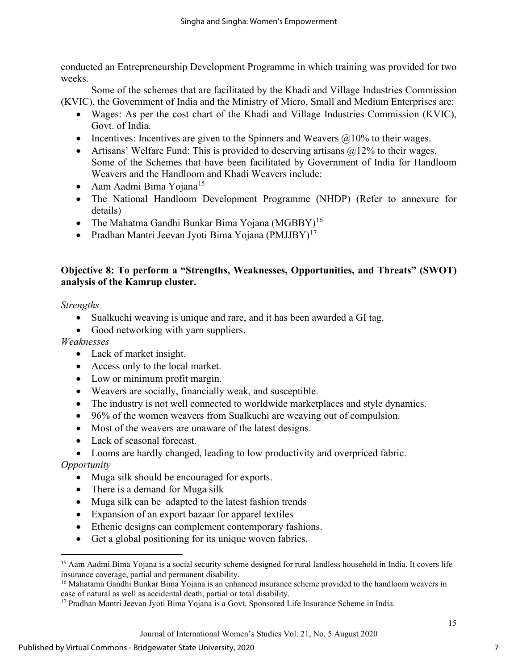conducted an Entrepreneurship Development Programme in which training was provided for two weeks.

Some of the schemes that are facilitated by the Khadi and Village Industries Commission (KVIC), the Government of India and the Ministry of Micro, Small and Medium Enterprises are:

- Wages: As per the cost chart of the Khadi and Village Industries Commission (KVIC), Govt. of India.
- Incentives: Incentives are given to the Spinners and Weavers  $\omega$ 10% to their wages.
- Artisans' Welfare Fund: This is provided to deserving artisans  $@12\%$  to their wages. Some of the Schemes that have been facilitated by Government of India for Handloom Weavers and the Handloom and Khadi Weavers include:
- Aam Aadmi Bima Yojana<sup>[15](#page-7-0)</sup>
- The National Handloom Development Programme (NHDP) (Refer to annexure for details)
- The Mahatma Gandhi Bunkar Bima Yojana (MGBBY)<sup>[16](#page-7-1)</sup>
- Pradhan Mantri Jeevan Jyoti Bima Yojana (PMJJBY)<sup>[17](#page-7-2)</sup>

# **Objective 8: To perform a "Strengths, Weaknesses, Opportunities, and Threats" (SWOT) analysis of the Kamrup cluster.**

### *Strengths*

- Sualkuchi weaving is unique and rare, and it has been awarded a GI tag.
- Good networking with yarn suppliers.

*Weaknesses*

- Lack of market insight.
- Access only to the local market.
- Low or minimum profit margin.
- Weavers are socially, financially weak, and susceptible.
- The industry is not well connected to worldwide marketplaces and style dynamics.
- 96% of the women weavers from Sualkuchi are weaving out of compulsion.
- Most of the weavers are unaware of the latest designs.
- Lack of seasonal forecast.
- Looms are hardly changed, leading to low productivity and overpriced fabric.

*Opportunity*

- Muga silk should be encouraged for exports.
- There is a demand for Muga silk
- Muga silk can be adapted to the latest fashion trends
- Expansion of an export bazaar for apparel textiles
- Ethenic designs can complement contemporary fashions.
- Get a global positioning for its unique woven fabrics.

<span id="page-7-0"></span><sup>15</sup> Aam Aadmi Bima Yojana is a social security scheme designed for rural landless household in India. It covers life insurance coverage, partial and permanent disability.

<span id="page-7-1"></span><sup>&</sup>lt;sup>16</sup> Mahatama Gandhi Bunkar Bima Yojana is an enhanced insurance scheme provided to the handloom weavers in case of natural as well as accidental death, partial or total disability.

<span id="page-7-2"></span><sup>&</sup>lt;sup>17</sup> Pradhan Mantri Jeevan Jyoti Bima Yojana is a Govt. Sponsored Life Insurance Scheme in India.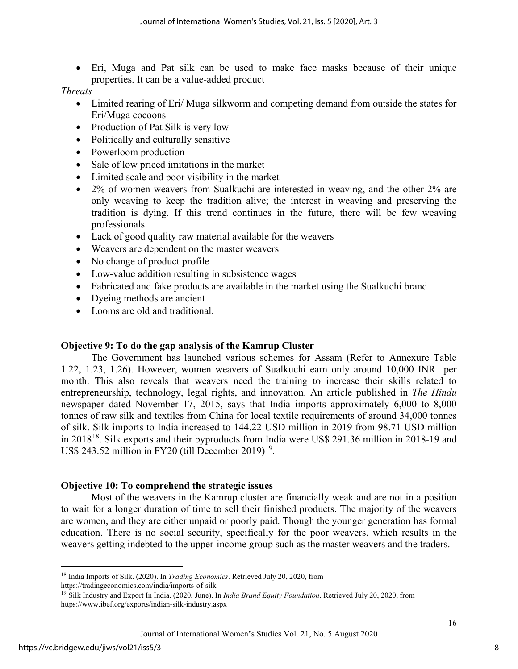• Eri, Muga and Pat silk can be used to make face masks because of their unique properties. It can be a value-added product

### *Threats*

- Limited rearing of Eri/ Muga silkworm and competing demand from outside the states for Eri/Muga cocoons
- Production of Pat Silk is very low
- Politically and culturally sensitive
- Powerloom production
- Sale of low priced imitations in the market
- Limited scale and poor visibility in the market
- 2% of women weavers from Sualkuchi are interested in weaving, and the other 2% are only weaving to keep the tradition alive; the interest in weaving and preserving the tradition is dying. If this trend continues in the future, there will be few weaving professionals.
- Lack of good quality raw material available for the weavers
- Weavers are dependent on the master weavers
- No change of product profile
- Low-value addition resulting in subsistence wages
- Fabricated and fake products are available in the market using the Sualkuchi brand
- Dyeing methods are ancient
- Looms are old and traditional.

# **Objective 9: To do the gap analysis of the Kamrup Cluster**

The Government has launched various schemes for Assam (Refer to Annexure Table 1.22, 1.23, 1.26). However, women weavers of Sualkuchi earn only around 10,000 INR per month. This also reveals that weavers need the training to increase their skills related to entrepreneurship, technology, legal rights, and innovation. An article published in *The Hindu*  newspaper dated November 17, 2015, says that India imports approximately 6,000 to 8,000 tonnes of raw silk and textiles from China for local textile requirements of around 34,000 tonnes of silk. Silk imports to India increased to 144.22 USD million in 2019 from 98.71 USD million in 20[18](#page-8-0)<sup>18</sup>. Silk exports and their byproducts from India were US\$ 291.36 million in 2018-19 and US\$ 243.52 million in FY20 (till December 20[19](#page-8-1))<sup>19</sup>.

# **Objective 10: To comprehend the strategic issues**

Most of the weavers in the Kamrup cluster are financially weak and are not in a position to wait for a longer duration of time to sell their finished products. The majority of the weavers are women, and they are either unpaid or poorly paid. Though the younger generation has formal education. There is no social security, specifically for the poor weavers, which results in the weavers getting indebted to the upper-income group such as the master weavers and the traders.

<span id="page-8-0"></span><sup>18</sup> India Imports of Silk. (2020). In *Trading Economics*. Retrieved July 20, 2020, from https://tradingeconomics.com/india/imports-of-silk

<span id="page-8-1"></span><sup>19</sup> Silk Industry and Export In India. (2020, June). In *India Brand Equity Foundation*. Retrieved July 20, 2020, from https://www.ibef.org/exports/indian-silk-industry.aspx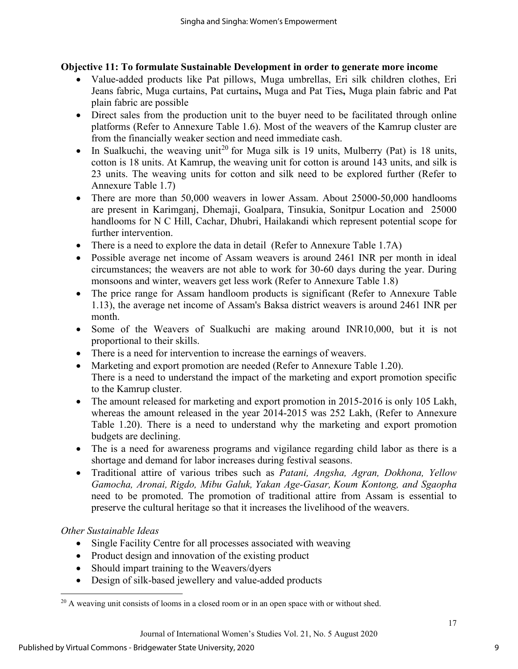### **Objective 11: To formulate Sustainable Development in order to generate more income**

- Value-added products like Pat pillows, Muga umbrellas, Eri silk children clothes, Eri Jeans fabric, Muga curtains, Pat curtains**,** Muga and Pat Ties**,** Muga plain fabric and Pat plain fabric are possible
- Direct sales from the production unit to the buyer need to be facilitated through online platforms (Refer to Annexure Table 1.6). Most of the weavers of the Kamrup cluster are from the financially weaker section and need immediate cash.
- In Sualkuchi, the weaving unit<sup>[20](#page-9-0)</sup> for Muga silk is 19 units, Mulberry (Pat) is 18 units, cotton is 18 units. At Kamrup, the weaving unit for cotton is around 143 units, and silk is 23 units. The weaving units for cotton and silk need to be explored further (Refer to Annexure Table 1.7)
- There are more than 50,000 weavers in lower Assam. About 25000-50,000 handlooms are present in Karimganj, Dhemaji, Goalpara, Tinsukia, Sonitpur Location and 25000 handlooms for N C Hill, Cachar, Dhubri, Hailakandi which represent potential scope for further intervention.
- There is a need to explore the data in detail (Refer to Annexure Table 1.7A)
- Possible average net income of Assam weavers is around 2461 INR per month in ideal circumstances; the weavers are not able to work for 30-60 days during the year. During monsoons and winter, weavers get less work (Refer to Annexure Table 1.8)
- The price range for Assam handloom products is significant (Refer to Annexure Table 1.13), the average net income of Assam's Baksa district weavers is around 2461 INR per month.
- Some of the Weavers of Sualkuchi are making around INR10,000, but it is not proportional to their skills.
- There is a need for intervention to increase the earnings of weavers.
- Marketing and export promotion are needed (Refer to Annexure Table 1.20). There is a need to understand the impact of the marketing and export promotion specific to the Kamrup cluster.
- The amount released for marketing and export promotion in 2015-2016 is only 105 Lakh, whereas the amount released in the year 2014-2015 was 252 Lakh, (Refer to Annexure Table 1.20). There is a need to understand why the marketing and export promotion budgets are declining.
- The is a need for awareness programs and vigilance regarding child labor as there is a shortage and demand for labor increases during festival seasons.
- Traditional attire of various tribes such as *Patani, Angsha, Agran, Dokhona, Yellow Gamocha, Aronai, Rigdo, Mibu Galuk, Yakan Age-Gasar, Koum Kontong, and Sgaopha* need to be promoted. The promotion of traditional attire from Assam is essential to preserve the cultural heritage so that it increases the livelihood of the weavers.

# *Other Sustainable Ideas*

- Single Facility Centre for all processes associated with weaving
- Product design and innovation of the existing product
- Should impart training to the Weavers/dyers
- Design of silk-based jewellery and value-added products

<span id="page-9-0"></span> $20$  A weaving unit consists of looms in a closed room or in an open space with or without shed.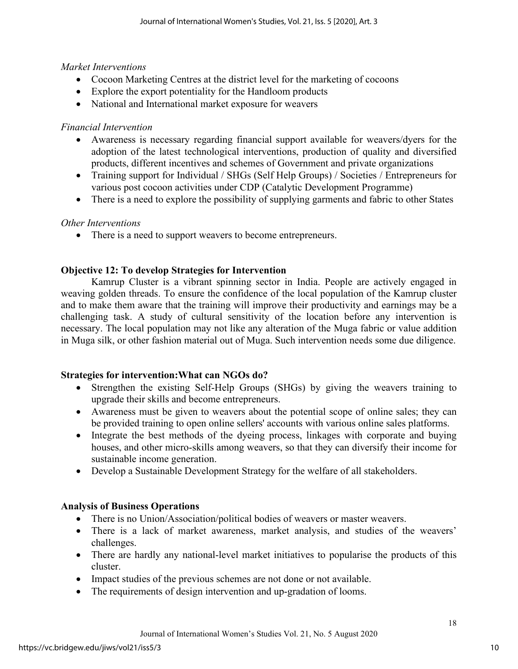# *Market Interventions*

- Cocoon Marketing Centres at the district level for the marketing of cocoons
- Explore the export potentiality for the Handloom products
- National and International market exposure for weavers

# *Financial Intervention*

- Awareness is necessary regarding financial support available for weavers/dyers for the adoption of the latest technological interventions, production of quality and diversified products, different incentives and schemes of Government and private organizations
- Training support for Individual / SHGs (Self Help Groups) / Societies / Entrepreneurs for various post cocoon activities under CDP (Catalytic Development Programme)
- There is a need to explore the possibility of supplying garments and fabric to other States

# *Other Interventions*

• There is a need to support weavers to become entrepreneurs.

# **Objective 12: To develop Strategies for Intervention**

Kamrup Cluster is a vibrant spinning sector in India. People are actively engaged in weaving golden threads. To ensure the confidence of the local population of the Kamrup cluster and to make them aware that the training will improve their productivity and earnings may be a challenging task. A study of cultural sensitivity of the location before any intervention is necessary. The local population may not like any alteration of the Muga fabric or value addition in Muga silk, or other fashion material out of Muga. Such intervention needs some due diligence.

# **Strategies for intervention:What can NGOs do?**

- Strengthen the existing Self-Help Groups (SHGs) by giving the weavers training to upgrade their skills and become entrepreneurs.
- Awareness must be given to weavers about the potential scope of online sales; they can be provided training to open online sellers' accounts with various online sales platforms.
- Integrate the best methods of the dyeing process, linkages with corporate and buying houses, and other micro-skills among weavers, so that they can diversify their income for sustainable income generation.
- Develop a Sustainable Development Strategy for the welfare of all stakeholders.

# **Analysis of Business Operations**

- There is no Union/Association/political bodies of weavers or master weavers.
- There is a lack of market awareness, market analysis, and studies of the weavers' challenges.
- There are hardly any national-level market initiatives to popularise the products of this cluster.
- Impact studies of the previous schemes are not done or not available.
- The requirements of design intervention and up-gradation of looms.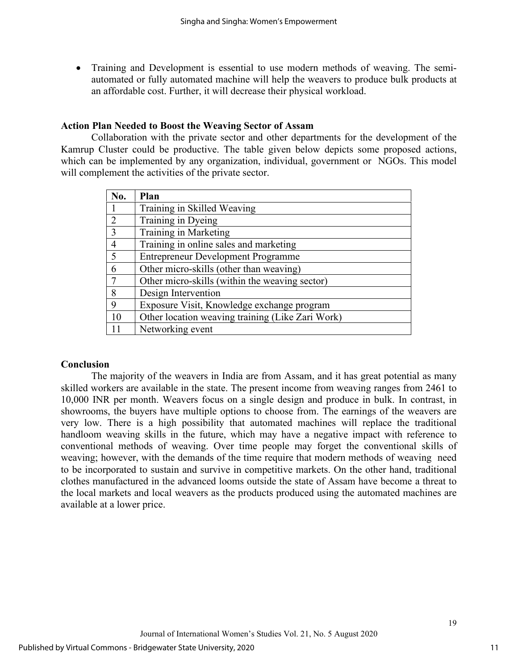• Training and Development is essential to use modern methods of weaving. The semiautomated or fully automated machine will help the weavers to produce bulk products at an affordable cost. Further, it will decrease their physical workload.

### **Action Plan Needed to Boost the Weaving Sector of Assam**

Collaboration with the private sector and other departments for the development of the Kamrup Cluster could be productive. The table given below depicts some proposed actions, which can be implemented by any organization, individual, government or NGOs. This model will complement the activities of the private sector.

| No.            | Plan                                             |
|----------------|--------------------------------------------------|
|                | Training in Skilled Weaving                      |
| 2              | Training in Dyeing                               |
| 3              | Training in Marketing                            |
| $\overline{4}$ | Training in online sales and marketing           |
| 5              | <b>Entrepreneur Development Programme</b>        |
| 6              | Other micro-skills (other than weaving)          |
| $\tau$         | Other micro-skills (within the weaving sector)   |
| 8              | Design Intervention                              |
| 9              | Exposure Visit, Knowledge exchange program       |
| 10             | Other location weaving training (Like Zari Work) |
| 11             | Networking event                                 |

### **Conclusion**

The majority of the weavers in India are from Assam, and it has great potential as many skilled workers are available in the state. The present income from weaving ranges from 2461 to 10,000 INR per month. Weavers focus on a single design and produce in bulk. In contrast, in showrooms, the buyers have multiple options to choose from. The earnings of the weavers are very low. There is a high possibility that automated machines will replace the traditional handloom weaving skills in the future, which may have a negative impact with reference to conventional methods of weaving. Over time people may forget the conventional skills of weaving; however, with the demands of the time require that modern methods of weaving need to be incorporated to sustain and survive in competitive markets. On the other hand, traditional clothes manufactured in the advanced looms outside the state of Assam have become a threat to the local markets and local weavers as the products produced using the automated machines are available at a lower price.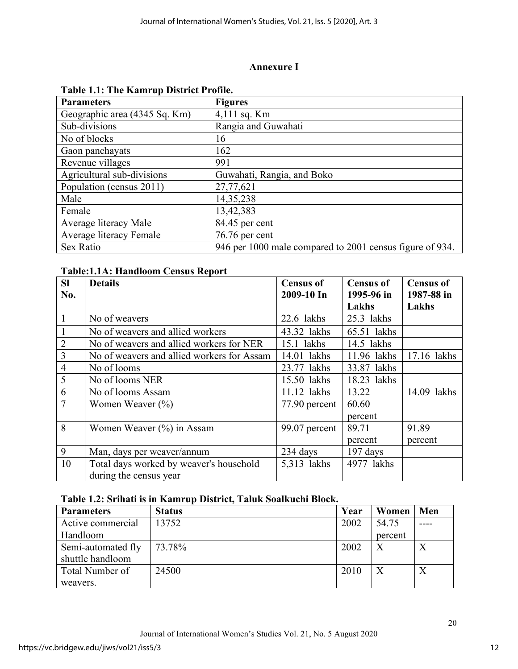# **Annexure I**

| <b>Parameters</b>             | <b>Figures</b>                                           |
|-------------------------------|----------------------------------------------------------|
| Geographic area (4345 Sq. Km) | 4,111 sq. Km                                             |
| Sub-divisions                 | Rangia and Guwahati                                      |
| No of blocks                  | 16                                                       |
| Gaon panchayats               | 162                                                      |
| Revenue villages              | 991                                                      |
| Agricultural sub-divisions    | Guwahati, Rangia, and Boko                               |
| Population (census 2011)      | 27,77,621                                                |
| Male                          | 14,35,238                                                |
| Female                        | 13,42,383                                                |
| Average literacy Male         | 84.45 per cent                                           |
| Average literacy Female       | 76.76 per cent                                           |
| Sex Ratio                     | 946 per 1000 male compared to 2001 census figure of 934. |

### **Table 1.1: The Kamrup District Profile.**

# **Table:1.1A: Handloom Census Report**

| <b>SI</b>      | <b>Details</b>                             | <b>Census of</b> | <b>Census of</b> | <b>Census of</b> |
|----------------|--------------------------------------------|------------------|------------------|------------------|
| No.            |                                            | 2009-10 In       | 1995-96 in       | 1987-88 in       |
|                |                                            |                  | Lakhs            | Lakhs            |
| $\mathbf{1}$   | No of weavers                              | 22.6 lakhs       | 25.3 lakhs       |                  |
|                | No of weavers and allied workers           | 43.32 lakhs      | 65.51 lakhs      |                  |
| $\overline{2}$ | No of weavers and allied workers for NER   | $15.1$ lakhs     | 14.5 lakhs       |                  |
| $\overline{3}$ | No of weavers and allied workers for Assam | $14.01$ lakhs    | 11.96 lakhs      | 17.16 lakhs      |
| $\overline{4}$ | No of looms                                | 23.77 lakhs      | 33.87 lakhs      |                  |
| 5              | No of looms NER                            | 15.50 lakhs      | 18.23 lakhs      |                  |
| 6              | No of looms Assam                          | 11.12 lakhs      | 13.22            | 14.09 lakhs      |
| $\overline{7}$ | Women Weaver $(\%)$                        | 77.90 percent    | 60.60            |                  |
|                |                                            |                  | percent          |                  |
| 8              | Women Weaver $(\% )$ in Assam              | 99.07 percent    | 89.71            | 91.89            |
|                |                                            |                  | percent          | percent          |
| 9              | Man, days per weaver/annum                 | 234 days         | $197$ days       |                  |
| 10             | Total days worked by weaver's household    | 5,313 lakhs      | 4977 lakhs       |                  |
|                | during the census year                     |                  |                  |                  |

# **Table 1.2: Srihati is in Kamrup District, Taluk Soalkuchi Block.**

| <b>Parameters</b>  | <b>Status</b> | Year | Women   | Men |
|--------------------|---------------|------|---------|-----|
| Active commercial  | 13752         | 2002 | 54.75   |     |
| Handloom           |               |      | percent |     |
| Semi-automated fly | 73.78%        | 2002 |         |     |
| shuttle handloom   |               |      |         |     |
| Total Number of    | 24500         | 2010 |         |     |
| weavers.           |               |      |         |     |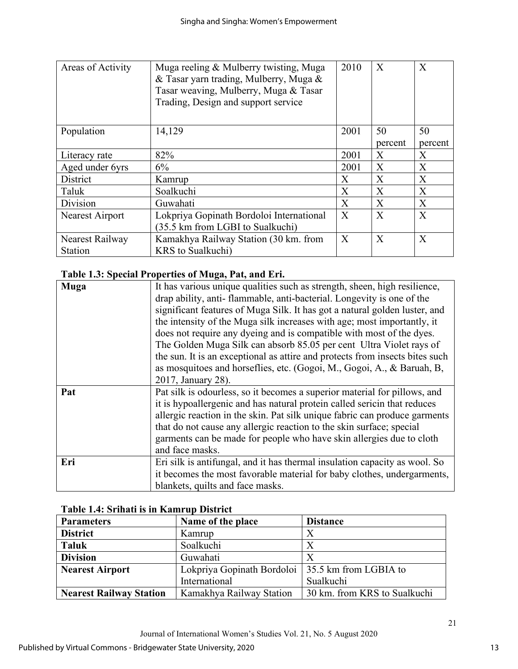| Areas of Activity | Muga reeling & Mulberry twisting, Muga<br>& Tasar yarn trading, Mulberry, Muga &<br>Tasar weaving, Mulberry, Muga & Tasar<br>Trading, Design and support service | 2010 | X       | $\mathbf{X}$ |
|-------------------|------------------------------------------------------------------------------------------------------------------------------------------------------------------|------|---------|--------------|
| Population        | 14,129                                                                                                                                                           | 2001 | 50      | 50           |
|                   |                                                                                                                                                                  |      | percent | percent      |
| Literacy rate     | 82%                                                                                                                                                              | 2001 | X       | X            |
| Aged under 6yrs   | 6%                                                                                                                                                               | 2001 | X       | X            |
| District          | Kamrup                                                                                                                                                           | X    | X       | X            |
| Taluk             | Soalkuchi                                                                                                                                                        | X    | X       | X            |
| Division          | Guwahati                                                                                                                                                         | X    | X       | X            |
| Nearest Airport   | Lokpriya Gopinath Bordoloi International                                                                                                                         | X    | X       | X            |
|                   | (35.5 km from LGBI to Sualkuchi)                                                                                                                                 |      |         |              |
| Nearest Railway   | Kamakhya Railway Station (30 km. from                                                                                                                            | X    | X       | X            |
| Station           | <b>KRS</b> to Sualkuchi)                                                                                                                                         |      |         |              |

# **Table 1.3: Special Properties of Muga, Pat, and Eri.**

| <b>Muga</b> | It has various unique qualities such as strength, sheen, high resilience,    |
|-------------|------------------------------------------------------------------------------|
|             | drap ability, anti-flammable, anti-bacterial. Longevity is one of the        |
|             | significant features of Muga Silk. It has got a natural golden luster, and   |
|             | the intensity of the Muga silk increases with age; most importantly, it      |
|             | does not require any dyeing and is compatible with most of the dyes.         |
|             | The Golden Muga Silk can absorb 85.05 per cent Ultra Violet rays of          |
|             | the sun. It is an exceptional as attire and protects from insects bites such |
|             | as mosquitoes and horseflies, etc. (Gogoi, M., Gogoi, A., & Baruah, B.       |
|             | 2017, January 28).                                                           |
| Pat         | Pat silk is odourless, so it becomes a superior material for pillows, and    |
|             | it is hypoallergenic and has natural protein called sericin that reduces     |
|             | allergic reaction in the skin. Pat silk unique fabric can produce garments   |
|             | that do not cause any allergic reaction to the skin surface; special         |
|             | garments can be made for people who have skin allergies due to cloth         |
|             | and face masks.                                                              |
| Eri         | Eri silk is antifungal, and it has thermal insulation capacity as wool. So   |
|             | it becomes the most favorable material for baby clothes, undergarments,      |
|             | blankets, quilts and face masks.                                             |

| Table 1.4: Srihati is in Kamrup District |  |  |
|------------------------------------------|--|--|
|                                          |  |  |

| <b>Parameters</b>              | Name of the place                                  | <b>Distance</b>              |
|--------------------------------|----------------------------------------------------|------------------------------|
| <b>District</b>                | Kamrup                                             | Х                            |
| <b>Taluk</b>                   | Soalkuchi                                          | $\boldsymbol{X}$             |
| <b>Division</b>                | Guwahati                                           |                              |
| <b>Nearest Airport</b>         | Lokpriya Gopinath Bordoloi   35.5 km from LGBIA to |                              |
|                                | International                                      | Sualkuchi                    |
| <b>Nearest Railway Station</b> | Kamakhya Railway Station                           | 30 km. from KRS to Sualkuchi |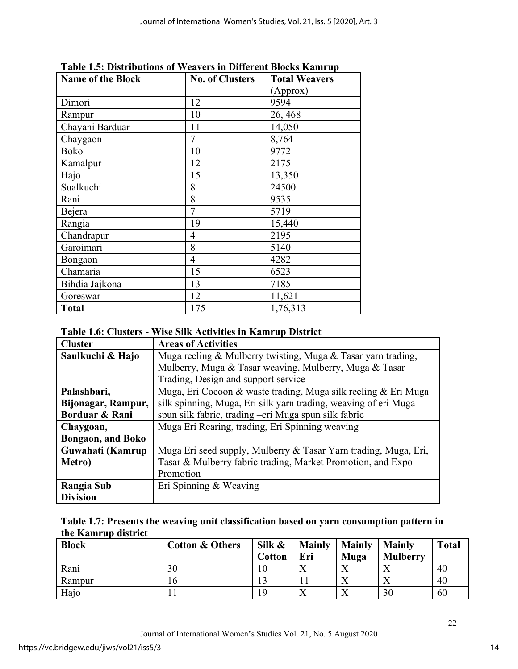| <b>Name of the Block</b> | <b>No. of Clusters</b> | <b>Total Weavers</b> |
|--------------------------|------------------------|----------------------|
|                          |                        | (Approx)             |
| Dimori                   | 12                     | 9594                 |
| Rampur                   | 10                     | 26, 468              |
| Chayani Barduar          | 11                     | 14,050               |
| Chaygaon                 | $\overline{7}$         | 8,764                |
| Boko                     | 10                     | 9772                 |
| Kamalpur                 | 12                     | 2175                 |
| Hajo                     | 15                     | 13,350               |
| Sualkuchi                | 8                      | 24500                |
| Rani                     | 8                      | 9535                 |
| Bejera                   | $\overline{7}$         | 5719                 |
| Rangia                   | 19                     | 15,440               |
| Chandrapur               | 4                      | 2195                 |
| Garoimari                | 8                      | 5140                 |
| Bongaon                  | $\overline{4}$         | 4282                 |
| Chamaria                 | 15                     | 6523                 |
| Bihdia Jajkona           | 13                     | 7185                 |
| Goreswar                 | 12                     | 11,621               |
| <b>Total</b>             | 175                    | 1,76,313             |

**Table 1.5: Distributions of Weavers in Different Blocks Kamrup** 

# **Table 1.6: Clusters - Wise Silk Activities in Kamrup District**

| <b>Cluster</b>            | <b>Areas of Activities</b>                                      |
|---------------------------|-----------------------------------------------------------------|
| Saulkuchi & Hajo          | Muga reeling & Mulberry twisting, Muga & Tasar yarn trading,    |
|                           | Mulberry, Muga & Tasar weaving, Mulberry, Muga & Tasar          |
|                           | Trading, Design and support service                             |
| Palashbari,               | Muga, Eri Cocoon & waste trading, Muga silk reeling & Eri Muga  |
| Bijonagar, Rampur,        | silk spinning, Muga, Eri silk yarn trading, weaving of eri Muga |
| Borduar & Rani            | spun silk fabric, trading -eri Muga spun silk fabric            |
| Chaygoan,                 | Muga Eri Rearing, trading, Eri Spinning weaving                 |
| <b>Bongaon</b> , and Boko |                                                                 |
| Guwahati (Kamrup          | Muga Eri seed supply, Mulberry & Tasar Yarn trading, Muga, Eri, |
| Metro)                    | Tasar & Mulberry fabric trading, Market Promotion, and Expo     |
|                           | Promotion                                                       |
| Rangia Sub                | Eri Spinning & Weaving                                          |
| <b>Division</b>           |                                                                 |

| Table 1.7: Presents the weaving unit classification based on yarn consumption pattern in |  |  |
|------------------------------------------------------------------------------------------|--|--|
| the Kamrup district                                                                      |  |  |

| <b>Block</b> | <b>Cotton &amp; Others</b> | Silk &        | <b>Mainly</b> | <b>Mainly</b> | <b>Mainly</b>   | <b>Total</b> |
|--------------|----------------------------|---------------|---------------|---------------|-----------------|--------------|
|              |                            | <b>Cotton</b> | Eri           | Muga          | <b>Mulberry</b> |              |
| Rani         | 30                         |               | $\Lambda$     |               |                 | 40           |
| Rampur       | <b>b</b>                   |               |               |               |                 | 40           |
| Hajo         |                            | ١Q            | ∡             |               | 30              | 60           |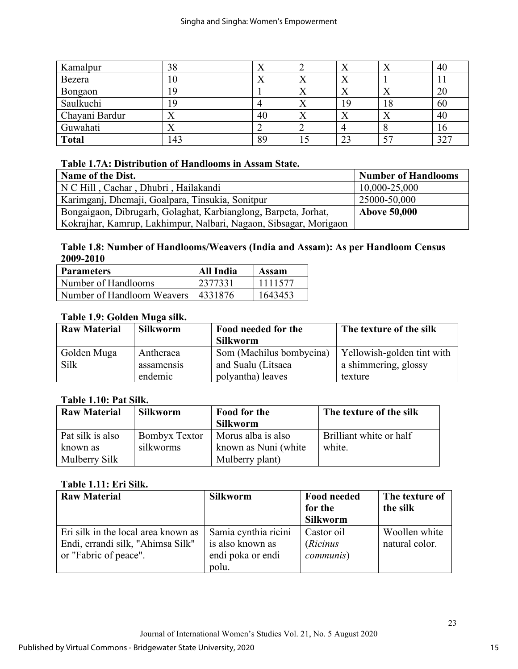| Kamalpur       | 38  |    |           | △         | $\lambda$ | 40  |
|----------------|-----|----|-----------|-----------|-----------|-----|
| Bezera         | l0  |    | ∡∢        | Λ         |           |     |
| Bongaon        | 9   |    | ∡         | $\Lambda$ | ∡⊾        | 20  |
| Saulkuchi      | 9   |    | $\Lambda$ | 19        | 18        | 60  |
| Chayani Bardur |     | 40 | $\Lambda$ | Δ         | $\Lambda$ | 40  |
| Guwahati       |     |    | ∽         |           |           | 16  |
| <b>Total</b>   | 143 | 89 |           | 23        |           | 327 |

# **Table 1.7A: Distribution of Handlooms in Assam State.**

| Name of the Dist.                                                 | <b>Number of Handlooms</b> |
|-------------------------------------------------------------------|----------------------------|
| N C Hill, Cachar, Dhubri, Hailakandi                              | 10,000-25,000              |
| Karimganj, Dhemaji, Goalpara, Tinsukia, Sonitpur                  | 25000-50,000               |
| Bongaigaon, Dibrugarh, Golaghat, Karbianglong, Barpeta, Jorhat,   | <b>Above 50,000</b>        |
| Kokrajhar, Kamrup, Lakhimpur, Nalbari, Nagaon, Sibsagar, Morigaon |                            |

# **Table 1.8: Number of Handlooms/Weavers (India and Assam): As per Handloom Census 2009-2010**

| <b>Parameters</b>                    | All India | Assam   |
|--------------------------------------|-----------|---------|
| Number of Handlooms                  | 2377331   | 1111577 |
| Number of Handloom Weavers   4331876 |           | 1643453 |

# **Table 1.9: Golden Muga silk.**

| <b>Raw Material</b> | <b>Silkworm</b> | Food needed for the      | The texture of the silk    |
|---------------------|-----------------|--------------------------|----------------------------|
|                     |                 | <b>Silkworm</b>          |                            |
| Golden Muga         | Antheraea       | Som (Machilus bombycina) | Yellowish-golden tint with |
| Silk                | assamensis      | and Sualu (Litsaea       | a shimmering, glossy       |
|                     | endemic         | polyantha) leaves        | texture                    |

# **Table 1.10: Pat Silk.**

| <b>Raw Material</b> | <b>Silkworm</b> | Food for the         | The texture of the silk |
|---------------------|-----------------|----------------------|-------------------------|
|                     |                 | <b>Silkworm</b>      |                         |
| Pat silk is also    | Bombyx Textor   | Morus alba is also   | Brilliant white or half |
| known as            | silkworms       | known as Nuni (white | white.                  |
| Mulberry Silk       |                 | Mulberry plant)      |                         |

# **Table 1.11: Eri Silk.**

| <b>Raw Material</b>                 | <b>Silkworm</b>      | <b>Food needed</b> | The texture of |
|-------------------------------------|----------------------|--------------------|----------------|
|                                     |                      | for the            | the silk       |
|                                     |                      | <b>Silkworm</b>    |                |
| Eri silk in the local area known as | Samia cynthia ricini | Castor oil         | Woollen white  |
| Endi, errandi silk, "Ahimsa Silk"   | is also known as     | ( <i>Ricinus</i>   | natural color. |
| or "Fabric of peace".               | endi poka or endi    | <i>communis</i> )  |                |
|                                     | polu.                |                    |                |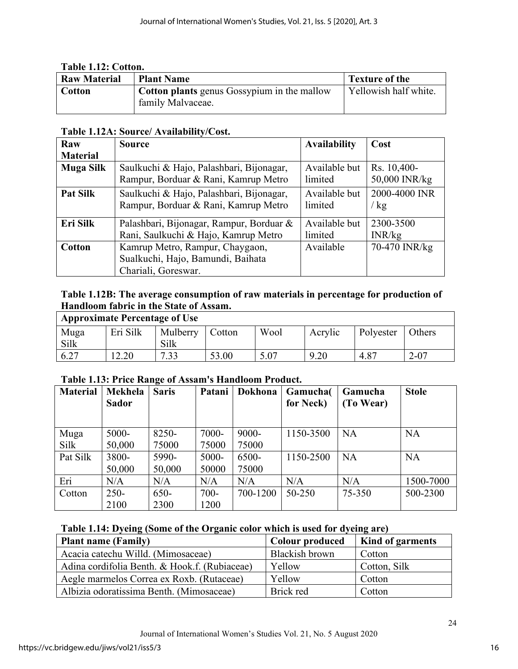| Table 1.12: Cotton. |                                                                         |                       |  |  |  |  |  |
|---------------------|-------------------------------------------------------------------------|-----------------------|--|--|--|--|--|
| <b>Raw Material</b> | <b>Plant Name</b>                                                       | <b>Texture of the</b> |  |  |  |  |  |
| <b>Cotton</b>       | <b>Cotton plants</b> genus Gossypium in the mallow<br>family Malvaceae. | Yellowish half white. |  |  |  |  |  |

### **Table 1.12A: Source/ Availability/Cost.**

| Raw              | Source                                   | <b>Availability</b> | Cost          |
|------------------|------------------------------------------|---------------------|---------------|
| <b>Material</b>  |                                          |                     |               |
| <b>Muga Silk</b> | Saulkuchi & Hajo, Palashbari, Bijonagar, | Available but       | Rs. 10,400-   |
|                  | Rampur, Borduar & Rani, Kamrup Metro     | limited             | 50,000 INR/kg |
| <b>Pat Silk</b>  | Saulkuchi & Hajo, Palashbari, Bijonagar, | Available but       | 2000-4000 INR |
|                  | Rampur, Borduar & Rani, Kamrup Metro     | limited             | / $kg$        |
| Eri Silk         | Palashbari, Bijonagar, Rampur, Borduar & | Available but       | 2300-3500     |
|                  | Rani, Saulkuchi & Hajo, Kamrup Metro     | limited             | INR/kg        |
| <b>Cotton</b>    | Kamrup Metro, Rampur, Chaygaon,          | Available           | 70-470 INR/kg |
|                  | Sualkuchi, Hajo, Bamundi, Baihata        |                     |               |
|                  | Chariali, Goreswar.                      |                     |               |

# **Table 1.12B: The average consumption of raw materials in percentage for production of Handloom fabric in the State of Assam.**

| <b>Approximate Percentage of Use</b> |          |          |        |      |         |           |          |
|--------------------------------------|----------|----------|--------|------|---------|-----------|----------|
| Muga                                 | Eri Silk | Mulberry | Cotton | Wool | Acrylic | Polyester | Others   |
| Silk                                 |          | Silk     |        |      |         |           |          |
| 6.27                                 | 2.20     | 7.33     | 53.00  | 5.07 | 9.20    | 4.87      | $2 - 07$ |

# **Table 1.13: Price Range of Assam's Handloom Product.**

| <b>Material</b> | Mekhela      | <b>Saris</b> | Patani   | Dokhona  | Gamucha(  | Gamucha   | <b>Stole</b> |
|-----------------|--------------|--------------|----------|----------|-----------|-----------|--------------|
|                 | <b>Sador</b> |              |          |          | for Neck) | (To Wear) |              |
|                 |              |              |          |          |           |           |              |
| Muga            | 5000-        | 8250-        | 7000-    | $9000 -$ | 1150-3500 | <b>NA</b> | <b>NA</b>    |
| Silk            | 50,000       | 75000        | 75000    | 75000    |           |           |              |
| Pat Silk        | 3800-        | 5990-        | $5000 -$ | 6500-    | 1150-2500 | <b>NA</b> | <b>NA</b>    |
|                 | 50,000       | 50,000       | 50000    | 75000    |           |           |              |
| Eri             | N/A          | N/A          | N/A      | N/A      | N/A       | N/A       | 1500-7000    |
| Cotton          | $250 -$      | $650-$       | $700 -$  | 700-1200 | 50-250    | 75-350    | 500-2300     |
|                 | 2100         | 2300         | 1200     |          |           |           |              |

# **Table 1.14: Dyeing (Some of the Organic color which is used for dyeing are)**

| <b>Plant name (Family)</b>                    | <b>Colour produced</b> | <b>Kind of garments</b> |
|-----------------------------------------------|------------------------|-------------------------|
| Acacia catechu Willd. (Mimosaceae)            | Blackish brown         | Cotton                  |
| Adina cordifolia Benth. & Hook.f. (Rubiaceae) | Yellow                 | Cotton, Silk            |
| Aegle marmelos Correa ex Roxb. (Rutaceae)     | Yellow                 | Cotton                  |
| Albizia odoratissima Benth. (Mimosaceae)      | Brick red              | Cotton                  |

24

 $\overline{\mathbf{u}}$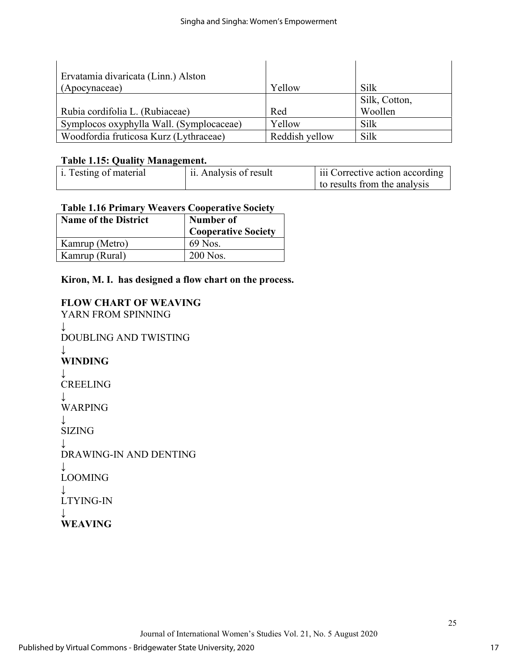| Ervatamia divaricata (Linn.) Alston      |                |               |
|------------------------------------------|----------------|---------------|
| (Apocynaceae)                            | Yellow         | Silk          |
|                                          |                | Silk, Cotton, |
| Rubia cordifolia L. (Rubiaceae)          | Red            | Woollen       |
| Symplocos oxyphylla Wall. (Symplocaceae) | Yellow         | Silk          |
| Woodfordia fruticosa Kurz (Lythraceae)   | Reddish yellow | Silk          |

# **Table 1.15: Quality Management.**

| $\mu$ i. Testing of material | ii. Analysis of result | l iii Corrective action according |
|------------------------------|------------------------|-----------------------------------|
|                              |                        | to results from the analysis      |

# **Table 1.16 Primary Weavers Cooperative Society**

| <b>Name of the District</b> | Number of                  |  |
|-----------------------------|----------------------------|--|
|                             | <b>Cooperative Society</b> |  |
| Kamrup (Metro)              | 69 Nos.                    |  |
| Kamrup (Rural)              | 200 Nos.                   |  |

# **Kiron, M. I. has designed a flow chart on the process.**

# **FLOW CHART OF WEAVING**

YARN FROM SPINNING ↓ DOUBLING AND TWISTING ↓ **WINDING** ↓ CREELING ↓ WARPING ↓ SIZING ↓ DRAWING-IN AND DENTING ↓ LOOMING ↓ LTYING-IN  $\perp$ **WEAVING**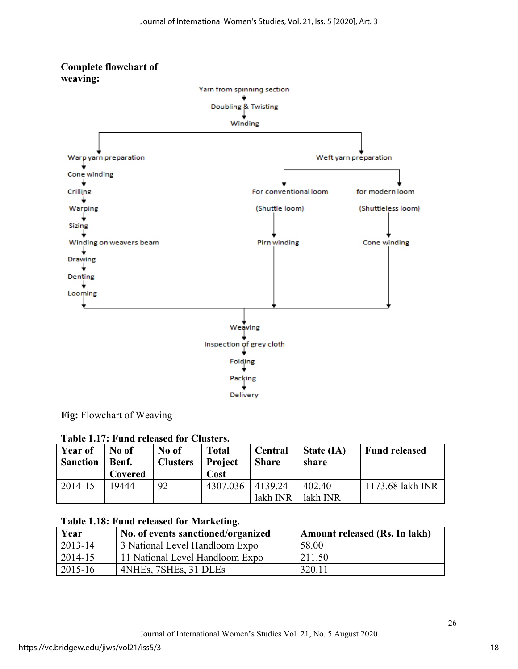

**Fig:** Flowchart of Weaving

|  |  |  |  |  | Table 1.17: Fund released for Clusters. |
|--|--|--|--|--|-----------------------------------------|
|--|--|--|--|--|-----------------------------------------|

| <b>Year of</b><br><b>Sanction</b> | No of<br>Benf.<br>Covered | No of<br><b>Clusters</b> | <b>Total</b><br><b>Project</b><br>Cost | <b>Central</b><br><b>Share</b> | State (IA)<br>share | <b>Fund released</b> |
|-----------------------------------|---------------------------|--------------------------|----------------------------------------|--------------------------------|---------------------|----------------------|
| 2014-15                           | 19444                     | 92                       | 4307.036                               | 14139.24                       | 402.40              | 1173.68 lakh INR     |
|                                   |                           |                          |                                        | lakh INR                       | lakh INR            |                      |

### **Table 1.18: Fund released for Marketing.**

| Year    | No. of events sanctioned/organized | Amount released (Rs. In lakh) |
|---------|------------------------------------|-------------------------------|
| 2013-14 | 3 National Level Handloom Expo     | 58.00                         |
| 2014-15 | 11 National Level Handloom Expo    | 211.50                        |
| 2015-16 | 4NHEs, 7SHEs, 31 DLEs              | 320.11                        |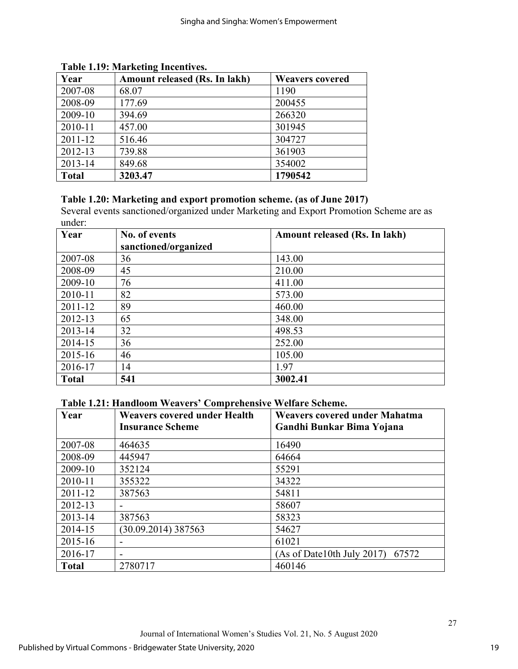| Year         | Amount released (Rs. In lakh) | <b>Weavers covered</b> |
|--------------|-------------------------------|------------------------|
| 2007-08      | 68.07                         | 1190                   |
| 2008-09      | 177.69                        | 200455                 |
| 2009-10      | 394.69                        | 266320                 |
| 2010-11      | 457.00                        | 301945                 |
| $2011 - 12$  | 516.46                        | 304727                 |
| 2012-13      | 739.88                        | 361903                 |
| 2013-14      | 849.68                        | 354002                 |
| <b>Total</b> | 3203.47                       | 1790542                |

### **Table 1.19: Marketing Incentives.**

# **Table 1.20: Marketing and export promotion scheme. (as of June 2017)**

Several events sanctioned/organized under Marketing and Export Promotion Scheme are as under:

| Year         | No. of events        | Amount released (Rs. In lakh) |
|--------------|----------------------|-------------------------------|
|              | sanctioned/organized |                               |
| 2007-08      | 36                   | 143.00                        |
| 2008-09      | 45                   | 210.00                        |
| 2009-10      | 76                   | 411.00                        |
| 2010-11      | 82                   | 573.00                        |
| 2011-12      | 89                   | 460.00                        |
| 2012-13      | 65                   | 348.00                        |
| 2013-14      | 32                   | 498.53                        |
| 2014-15      | 36                   | 252.00                        |
| 2015-16      | 46                   | 105.00                        |
| 2016-17      | 14                   | 1.97                          |
| <b>Total</b> | 541                  | 3002.41                       |

**Table 1.21: Handloom Weavers' Comprehensive Welfare Scheme.**

| Year         | <b>Weavers covered under Health</b><br><b>Insurance Scheme</b> | <b>Weavers covered under Mahatma</b><br>Gandhi Bunkar Bima Yojana |
|--------------|----------------------------------------------------------------|-------------------------------------------------------------------|
| 2007-08      | 464635                                                         | 16490                                                             |
| 2008-09      | 445947                                                         | 64664                                                             |
| 2009-10      | 352124                                                         | 55291                                                             |
| 2010-11      | 355322                                                         | 34322                                                             |
| 2011-12      | 387563                                                         | 54811                                                             |
| 2012-13      |                                                                | 58607                                                             |
| 2013-14      | 387563                                                         | 58323                                                             |
| 2014-15      | (30.09.2014) 387563                                            | 54627                                                             |
| 2015-16      | ٠                                                              | 61021                                                             |
| 2016-17      |                                                                | $(As of Date10th July 2017)$ 67572                                |
| <b>Total</b> | 2780717                                                        | 460146                                                            |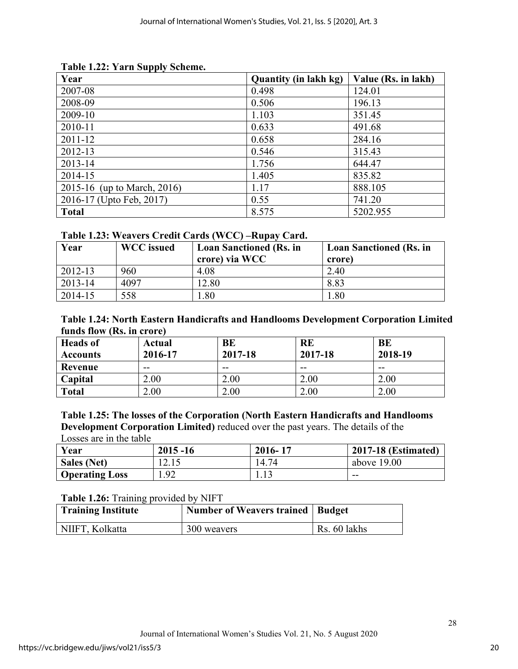| Year                        | <b>Quantity (in lakh kg)</b> | Value (Rs. in lakh) |
|-----------------------------|------------------------------|---------------------|
| 2007-08                     | 0.498                        | 124.01              |
| 2008-09                     | 0.506                        | 196.13              |
| 2009-10                     | 1.103                        | 351.45              |
| 2010-11                     | 0.633                        | 491.68              |
| 2011-12                     | 0.658                        | 284.16              |
| 2012-13                     | 0.546                        | 315.43              |
| 2013-14                     | 1.756                        | 644.47              |
| 2014-15                     | 1.405                        | 835.82              |
| 2015-16 (up to March, 2016) | 1.17                         | 888.105             |
| 2016-17 (Upto Feb, 2017)    | 0.55                         | 741.20              |
| <b>Total</b>                | 8.575                        | 5202.955            |

### **Table 1.22: Yarn Supply Scheme.**

### **Table 1.23: Weavers Credit Cards (WCC) –Rupay Card.**

| Year    | <b>WCC</b> issued | <b>Loan Sanctioned (Rs. in</b><br>crore) via WCC | <b>Loan Sanctioned (Rs. in</b><br>crore) |
|---------|-------------------|--------------------------------------------------|------------------------------------------|
| 2012-13 | 960               | 4.08                                             | 2.40                                     |
| 2013-14 | 4097              | 12.80                                            | 8.83                                     |
| 2014-15 | 558               | .80                                              | 1.80                                     |

### **Table 1.24: North Eastern Handicrafts and Handlooms Development Corporation Limited funds flow (Rs. in crore)**

| <b>Heads</b> of | Actual  | BE      | <b>RE</b> | BE      |
|-----------------|---------|---------|-----------|---------|
| <b>Accounts</b> | 2016-17 | 2017-18 | 2017-18   | 2018-19 |
| Revenue         | --      | --      | --        | --      |
| Capital         | 2.00    | 2.00    | 2.00      | 2.00    |
| <b>Total</b>    | 2.00    | 2.00    | 2.00      | 2.00    |

#### **Table 1.25: The losses of the Corporation (North Eastern Handicrafts and Handlooms Development Corporation Limited)** reduced over the past years. The details of the Losses are in the table

| Year                  | $2015 - 16$ | 2016-17 | <b>2017-18 (Estimated)</b> |
|-----------------------|-------------|---------|----------------------------|
| <b>Sales (Net)</b>    | 12.15       | 14.74   | above $19.00$              |
| <b>Operating Loss</b> | 1.92        | 1.13    | --                         |

### **Table 1.26:** Training provided by NIFT

| <b>Training Institute</b> | Number of Weavers trained   Budget |              |
|---------------------------|------------------------------------|--------------|
| NIIFT, Kolkatta           | 300 weavers                        | Rs. 60 lakhs |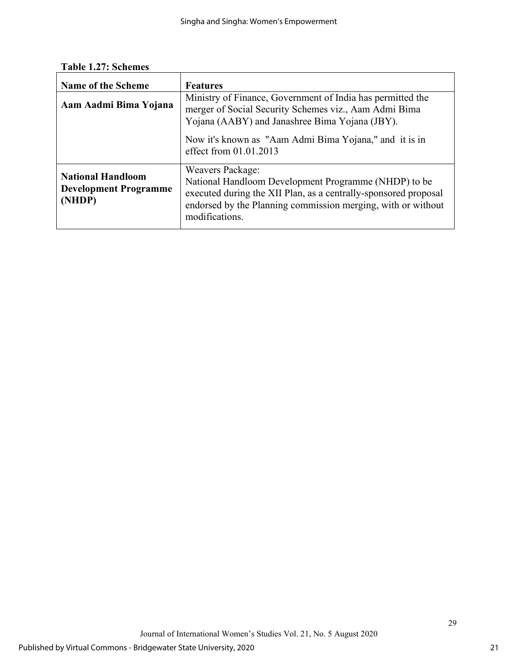**Table 1.27: Schemes** 

| <b>Name of the Scheme</b>                                          | <b>Features</b>                                                                                                                                                                                                                                             |
|--------------------------------------------------------------------|-------------------------------------------------------------------------------------------------------------------------------------------------------------------------------------------------------------------------------------------------------------|
| Aam Aadmi Bima Yojana                                              | Ministry of Finance, Government of India has permitted the<br>merger of Social Security Schemes viz., Aam Admi Bima<br>Yojana (AABY) and Janashree Bima Yojana (JBY).<br>Now it's known as "Aam Admi Bima Yojana," and it is in<br>effect from $01.01.2013$ |
| <b>National Handloom</b><br><b>Development Programme</b><br>(NHDP) | <b>Weavers Package:</b><br>National Handloom Development Programme (NHDP) to be<br>executed during the XII Plan, as a centrally-sponsored proposal<br>endorsed by the Planning commission merging, with or without<br>modifications.                        |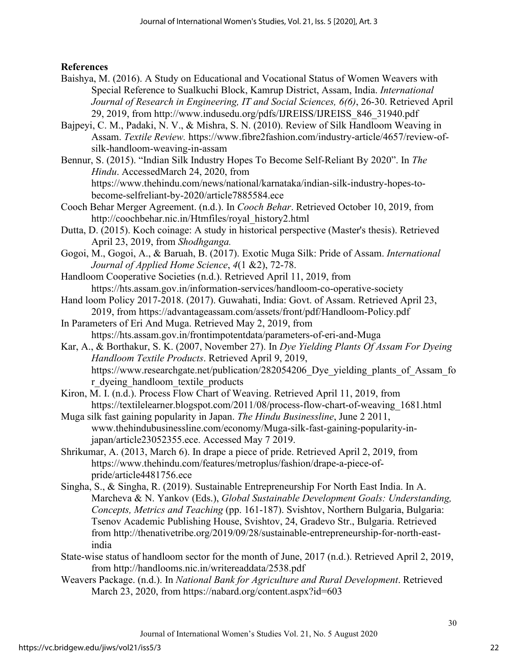**References**

- Baishya, M. (2016). A Study on Educational and Vocational Status of Women Weavers with Special Reference to Sualkuchi Block, Kamrup District, Assam, India. *International Journal of Research in Engineering, IT and Social Sciences, 6(6)*, 26-30. Retrieved April 29, 2019, from http://www.indusedu.org/pdfs/IJREISS/IJREISS\_846\_31940.pdf
- Bajpeyi, C. M., Padaki, N. V., & Mishra, S. N. (2010). Review of Silk Handloom Weaving in Assam. *Textile Review.* https://www.fibre2fashion.com/industry-article/4657/review-ofsilk-handloom-weaving-in-assam
- Bennur, S. (2015). "Indian Silk Industry Hopes To Become Self-Reliant By 2020". In *The Hindu*. AccessedMarch 24, 2020, from https://www.thehindu.com/news/national/karnataka/indian-silk-industry-hopes-tobecome-selfreliant-by-2020/article7885584.ece
- Cooch Behar Merger Agreement. (n.d.). In *Cooch Behar*. Retrieved October 10, 2019, from http://coochbehar.nic.in/Htmfiles/royal\_history2.html
- Dutta, D. (2015). Koch coinage: A study in historical perspective (Master's thesis). Retrieved April 23, 2019, from *Shodhganga.*
- Gogoi, M., Gogoi, A., & Baruah, B. (2017). Exotic Muga Silk: Pride of Assam. *International Journal of Applied Home Science*, *4*(1 &2), 72-78.
- Handloom Cooperative Societies (n.d.). Retrieved April 11, 2019, from https://hts.assam.gov.in/information-services/handloom-co-operative-society
- Hand loom Policy 2017-2018. (2017). Guwahati, India: Govt. of Assam. Retrieved April 23, 2019, from https://advantageassam.com/assets/front/pdf/Handloom-Policy.pdf
- In Parameters of Eri And Muga. Retrieved May 2, 2019, from https://hts.assam.gov.in/frontimpotentdata/parameters-of-eri-and-Muga
- Kar, A., & Borthakur, S. K. (2007, November 27). In *Dye Yielding Plants Of Assam For Dyeing Handloom Textile Products*. Retrieved April 9, 2019, https://www.researchgate.net/publication/282054206 Dye yielding plants of Assam fo r\_dyeing\_handloom\_textile\_products
- Kiron, M. I. (n.d.). Process Flow Chart of Weaving. Retrieved April 11, 2019, from https://textilelearner.blogspot.com/2011/08/process-flow-chart-of-weaving\_1681.html
- Muga silk fast gaining popularity in Japan. *The Hindu Businessline*, June 2 2011, www.thehindubusinessline.com/economy/Muga-silk-fast-gaining-popularity-injapan/article23052355.ece. Accessed May 7 2019.
- Shrikumar, A. (2013, March 6). In drape a piece of pride. Retrieved April 2, 2019, from https://www.thehindu.com/features/metroplus/fashion/drape-a-piece-ofpride/article4481756.ece
- Singha, S., & Singha, R. (2019). Sustainable Entrepreneurship For North East India. In A. Marcheva & N. Yankov (Eds.), *Global Sustainable Development Goals: Understanding, Concepts, Metrics and Teaching* (pp. 161-187). Svishtov, Northern Bulgaria, Bulgaria: Tsenov Academic Publishing House, Svishtov, 24, Gradevo Str., Bulgaria. Retrieved from http://thenativetribe.org/2019/09/28/sustainable-entrepreneurship-for-north-eastindia
- State-wise status of handloom sector for the month of June, 2017 (n.d.). Retrieved April 2, 2019, from http://handlooms.nic.in/writereaddata/2538.pdf
- Weavers Package. (n.d.). In *National Bank for Agriculture and Rural Development*. Retrieved March 23, 2020, from https://nabard.org/content.aspx?id=603